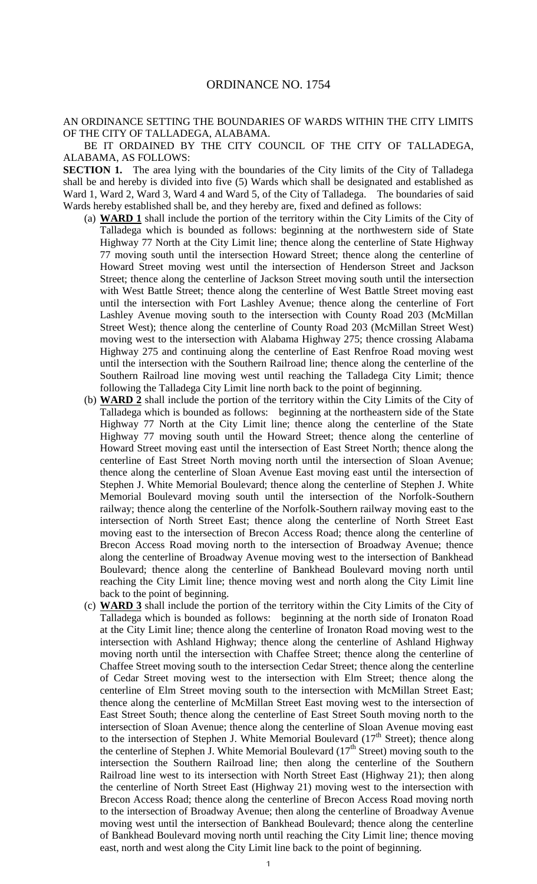## AN ORDINANCE SETTING THE BOUNDARIES OF WARDS WITHIN THE CITY LIMITS OF THE CITY OF TALLADEGA, ALABAMA.

BE IT ORDAINED BY THE CITY COUNCIL OF THE CITY OF TALLADEGA, ALABAMA, AS FOLLOWS:

**SECTION 1.** The area lying with the boundaries of the City limits of the City of Talladega shall be and hereby is divided into five (5) Wards which shall be designated and established as Ward 1, Ward 2, Ward 3, Ward 4 and Ward 5, of the City of Talladega. The boundaries of said Wards hereby established shall be, and they hereby are, fixed and defined as follows:

- (a) **WARD 1** shall include the portion of the territory within the City Limits of the City of Talladega which is bounded as follows: beginning at the northwestern side of State Highway 77 North at the City Limit line; thence along the centerline of State Highway 77 moving south until the intersection Howard Street; thence along the centerline of Howard Street moving west until the intersection of Henderson Street and Jackson Street; thence along the centerline of Jackson Street moving south until the intersection with West Battle Street; thence along the centerline of West Battle Street moving east until the intersection with Fort Lashley Avenue; thence along the centerline of Fort Lashley Avenue moving south to the intersection with County Road 203 (McMillan Street West); thence along the centerline of County Road 203 (McMillan Street West) moving west to the intersection with Alabama Highway 275; thence crossing Alabama Highway 275 and continuing along the centerline of East Renfroe Road moving west until the intersection with the Southern Railroad line; thence along the centerline of the Southern Railroad line moving west until reaching the Talladega City Limit; thence following the Talladega City Limit line north back to the point of beginning.
- (b) **WARD 2** shall include the portion of the territory within the City Limits of the City of Talladega which is bounded as follows: beginning at the northeastern side of the State Highway 77 North at the City Limit line; thence along the centerline of the State Highway 77 moving south until the Howard Street; thence along the centerline of Howard Street moving east until the intersection of East Street North; thence along the centerline of East Street North moving north until the intersection of Sloan Avenue; thence along the centerline of Sloan Avenue East moving east until the intersection of Stephen J. White Memorial Boulevard; thence along the centerline of Stephen J. White Memorial Boulevard moving south until the intersection of the Norfolk-Southern railway; thence along the centerline of the Norfolk-Southern railway moving east to the intersection of North Street East; thence along the centerline of North Street East moving east to the intersection of Brecon Access Road; thence along the centerline of Brecon Access Road moving north to the intersection of Broadway Avenue; thence along the centerline of Broadway Avenue moving west to the intersection of Bankhead Boulevard; thence along the centerline of Bankhead Boulevard moving north until reaching the City Limit line; thence moving west and north along the City Limit line back to the point of beginning.
- (c) **WARD 3** shall include the portion of the territory within the City Limits of the City of Talladega which is bounded as follows: beginning at the north side of Ironaton Road at the City Limit line; thence along the centerline of Ironaton Road moving west to the intersection with Ashland Highway; thence along the centerline of Ashland Highway moving north until the intersection with Chaffee Street; thence along the centerline of Chaffee Street moving south to the intersection Cedar Street; thence along the centerline of Cedar Street moving west to the intersection with Elm Street; thence along the centerline of Elm Street moving south to the intersection with McMillan Street East; thence along the centerline of McMillan Street East moving west to the intersection of East Street South; thence along the centerline of East Street South moving north to the intersection of Sloan Avenue; thence along the centerline of Sloan Avenue moving east to the intersection of Stephen J. White Memorial Boulevard  $(17<sup>th</sup> Street)$ ; thence along the centerline of Stephen J. White Memorial Boulevard  $(17<sup>th</sup> Street)$  moving south to the intersection the Southern Railroad line; then along the centerline of the Southern Railroad line west to its intersection with North Street East (Highway 21); then along the centerline of North Street East (Highway 21) moving west to the intersection with Brecon Access Road; thence along the centerline of Brecon Access Road moving north to the intersection of Broadway Avenue; then along the centerline of Broadway Avenue moving west until the intersection of Bankhead Boulevard; thence along the centerline of Bankhead Boulevard moving north until reaching the City Limit line; thence moving east, north and west along the City Limit line back to the point of beginning.